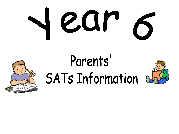

# Parents'<br>SATs Information of



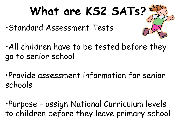## **What are KS2 SATs?**

- •Standard Assessment Tests
- •All children have to be tested before they go to senior school
- •Provide assessment information for senior schools

•Purpose – assign National Curriculum levels to children before they leave primary school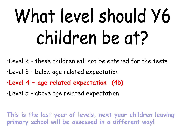## What level should Y6 children be at?

•Level 2 – these children will not be entered for the tests

- •Level 3 below age related expectation
- •**Level 4 – age related expectation (4b)**
- •Level 5 above age related expectation

**This is the last year of levels, next year children leaving primary school will be assessed in a different way!**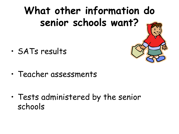## **What other information do senior schools want?**

- SATs results
- Teacher assessments

• Tests administered by the senior schools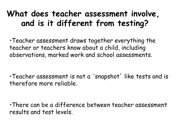## **What does teacher assessment involve, and is it different from testing?**

•Teacher assessment draws together everything the teacher or teachers know about a child, including observations, marked work and school assessments.

•Teacher assessment is not a 'snapshot' like tests and is therefore more reliable.

•There can be a difference between teacher assessment results and test levels.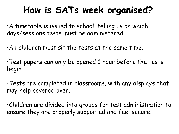## **How is SATs week organised?**

•A timetable is issued to school, telling us on which days/sessions tests must be administered.

- •All children must sit the tests at the same time.
- •Test papers can only be opened 1 hour before the tests begin.
- •Tests are completed in classrooms, with any displays that may help covered over.

•Children are divided into groups for test administration to ensure they are properly supported and feel secure.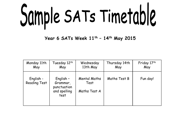Sample SATs Timetable

**Year 6 SATs Week 11th – 14th May 2015**

| Monday 11th                      | Tuesday 12th                                                 | Wednesday                                   | Thursday 14th | Friday 17th |
|----------------------------------|--------------------------------------------------------------|---------------------------------------------|---------------|-------------|
| May                              | May                                                          | 13th May                                    | May           | May         |
| English -<br><b>Reading Test</b> | English -<br>Grammar,<br>punctuation<br>and spelling<br>test | <b>Mental Maths</b><br>Test<br>Maths Test A | Maths Test B  | Fun day!    |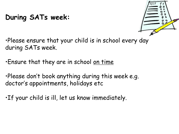#### **During SATs week:**



•Please ensure that your child is in school every day during SATs week.

•Ensure that they are in school on time

•Please don't book anything during this week e.g. doctor's appointments, holidays etc

•If your child is ill, let us know immediately.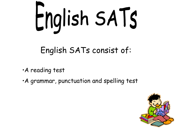

## English SATs consist of:

- •A reading test
- •A grammar, punctuation and spelling test

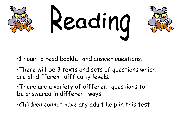

- •1 hour to read booklet and answer questions.
- •There will be 3 texts and sets of questions which are all different difficulty levels.
- •There are a variety of different questions to be answered in different ways
- •Children cannot have any adult help in this test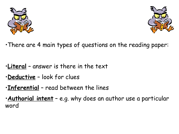



•There are 4 main types of questions on the reading paper:

- •**Literal** answer is there in the text
- •**Deductive** look for clues
- •**Inferential** read between the lines
- •**Authorial intent** e.g. why does an author use a particular word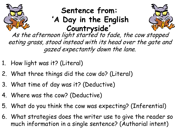

### **Sentence from:**  '**A Day in the English Countryside**'



As the afternoon light started to fade, the cow stopped eating grass, stood instead with its head over the gate and gazed expectantly down the lane.

- 1. How light was it? (Literal)
- 2. What three things did the cow do? (Literal)
- 3. What time of day was it? (Deductive)
- 4. Where was the cow? (Deductive)
- 5. What do you think the cow was expecting? (Inferential)
- 6. What strategies does the writer use to give the reader so much information in a single sentence? (Authorial intent)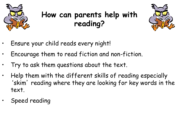

## **How can parents help with reading?**



- Ensure your child reads every night!
- Encourage them to read fiction and non-fiction.
- Try to ask them questions about the text.
- Help them with the different skills of reading especially 'skim' reading where they are looking for key words in the text.
- Speed reading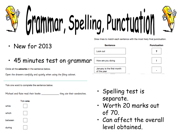

- New for 2013
- 45 minutes test on grammar

Circle all the adverbs in the sentence below.

Open the drawers carefully and quietly when using the filing cabinet.

Tick one word to complete the sentence below.

Michael and Kate read their books \_\_\_\_\_\_\_\_\_\_\_\_\_\_\_\_they ate their sandwiches.



- Spelling test is separate.
- Worth 20 marks out of 70.
- Can affect the overall level obtained.

**Sentence Punctuation** Look out 2 How are you doing ÷

Draw lines to match each sentence with the most likely final punctuation.

January is the first month of the year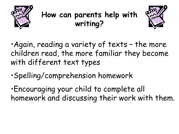

## **How can parents help with writing?**



•Again, reading a variety of texts – the more children read, the more familiar they become with different text types

•Spelling/comprehension homework

•Encouraging your child to complete all homework and discussing their work with them.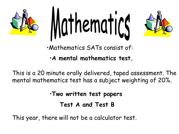



•Mathematics SATs consist of:

•**A mental mathematics test.**

This is a 20 minute orally delivered, taped assessment. The mental mathematics test has a subject weighting of 20%.

•**Two written test papers** 

**Test A and Test B**

This year, there will not be a calculator test.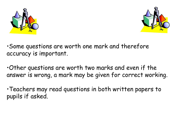



•Some questions are worth one mark and therefore accuracy is important.

•Other questions are worth two marks and even if the answer is wrong, a mark may be given for correct working.

•Teachers may read questions in both written papers to pupils if asked.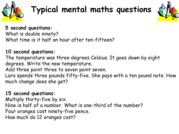

## **Typical mental maths questions**



#### **5 second questions:**

What is double ninety? What time is it half an hour after ten-fifteen?

#### **10 second questions:**

The temperature was three degrees Celsius. It goes down by eight degrees. Write the new temperature.

Add three point three to seven point seven.

Lara spends three pounds fifty-five. She pays with a ten pound note. How much change does she get?

#### **15 second questions:**

Multiply thirty-five by six. Nine is half of a number. What is one-third of the number? Four oranges cost ninety-five pence. How much do 12 oranges cost?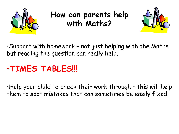

## **How can parents help with Maths?**



•Support with homework – not just helping with the Maths but reading the question can really help.

## •**TIMES TABLES!!!**

•Help your child to check their work through – this will help them to spot mistakes that can sometimes be easily fixed.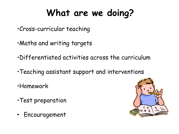## **What are we doing?**

- •Cross-curricular teaching
- •Maths and writing targets
- •Differentiated activities across the curriculum
- •Teaching assistant support and interventions
- •Homework
- •Test preparation
- Encouragement

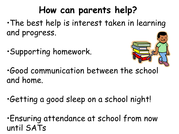## **How can parents help?**

•The best help is interest taken in learning and progress.

•Supporting homework.



•Good communication between the school and home.

•Getting a good sleep on a school night!

•Ensuring attendance at school from now until SATs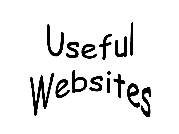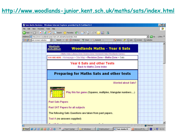#### **<http://www.woodlands-junior.kent.sch.uk/maths/sats/index.html>**

|                                        |                      | Sats Maths Revision - Windows Internet Explorer provided by St Cuthbert's C                                                                                                |        | - <mark> 하</mark> ×           |
|----------------------------------------|----------------------|----------------------------------------------------------------------------------------------------------------------------------------------------------------------------|--------|-------------------------------|
| File Edit                              | View Favorites Tools | Help                                                                                                                                                                       |        |                               |
|                                        |                      | <b>◆Back・→・× 2 4 3</b>                                                                                                                                                     |        |                               |
|                                        |                      | Address <b>&amp;</b> http://www.woodlands-junior.kent.sch.uk/maths/sats/index.html                                                                                         | ⊡ D Go | $\lfloor$ Links $\rightarrow$ |
| <b>Google</b> - sats revision websites |                      | $\boxed{\bullet}$ G Search $\rightarrow$ $\boxed{\circ}$ $\boxed{\circ}$ 19 blocked<br>ABC Check • ※ AutoLink • 日 AutoFill 20 Options A [6] sats [6] revision [6] websites |        |                               |
|                                        |                      |                                                                                                                                                                            |        |                               |
|                                        |                      | Woodlands <sub>)</sub><br><b>Woodlands Maths - Year 6 Sats</b><br>Junior School                                                                                            |        |                               |
|                                        |                      | Maths Index   Literacy Zone   Science Zone   Homework Help   Woodlands Games                                                                                               |        |                               |
|                                        |                      | YOU ARE HERE: Homepage > Site Map > Revision Zone > Maths Zone > Sats                                                                                                      |        |                               |
|                                        |                      | <b>Year 6 Sats and other Tests</b>                                                                                                                                         |        |                               |
|                                        |                      | <b>Back to Maths Zone index</b>                                                                                                                                            |        |                               |
|                                        |                      | <b>Worried about Sats?</b>                                                                                                                                                 |        |                               |
|                                        |                      | <b>Preparing for Maths Sats and other tests</b>                                                                                                                            |        |                               |
|                                        |                      |                                                                                                                                                                            |        |                               |
|                                        |                      |                                                                                                                                                                            |        |                               |
|                                        |                      | Play this fun game (Squares, multiples, triangular numbers)                                                                                                                |        |                               |
|                                        |                      | <b>Past Sats Papers</b>                                                                                                                                                    |        |                               |
|                                        |                      | Past SAT Papers for all subjects                                                                                                                                           |        |                               |
|                                        |                      |                                                                                                                                                                            |        |                               |
|                                        |                      | The following Sats Questions are taken from past papers.                                                                                                                   |        |                               |
|                                        |                      | Test A (no answers supplied)                                                                                                                                               |        |                               |
|                                        |                      |                                                                                                                                                                            |        |                               |
| ම                                      | <b>C</b> Internet    |                                                                                                                                                                            |        |                               |
|                                        |                      | Henstart G M M M + D Microsoft Po   M Start Center   ■ 2 Windows  -   图 Publication1    @ Sats Maths R   <mark>画</mark> Microsoft Po   EN                                  |        | « 引 10:13                     |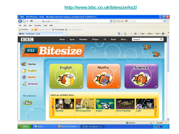#### **<http://www.bbc.co.uk/bitesize/ks2/>**

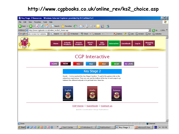#### **[http://www.cgpbooks.co.uk/online\\_rev/ks2\\_choice.asp](http://www.cgpbooks.co.uk/online_rev/ks2_choice.asp)**

| Key Stage 2 Resources - Windows Internet Explorer provided by St Cuthbert's C                                                                                                                                                          | $  \sigma  \times$        |
|----------------------------------------------------------------------------------------------------------------------------------------------------------------------------------------------------------------------------------------|---------------------------|
| Edit<br>Favorites<br>Tools Help<br>File<br><b>View</b>                                                                                                                                                                                 | Æ                         |
| 12 13<br>ø<br>$\leftarrow$<br>Favorites $\left( 2 \right)$<br>×<br>Search<br><b>8 a</b><br>$W$ +<br>Back $\star$                                                                                                                       |                           |
| Address & http://www.cgpbooks.co.uk/online_rev/ks2_choice.asp<br>$\rightarrow$ Go<br>회                                                                                                                                                 | Links <sup>&gt;&gt;</sup> |
| C Search + 30 20 19 blocked<br><b>P</b> Q Options<br>(6) ks2 (6) websites<br><b>Google</b> $\cdot$ sats revision ks2 websites $\  \cdot \ $<br>d sats d revision<br>у                                                                  |                           |
| What's<br><b>Schools</b><br>Private<br><b>Jobs</b><br><b>Shopping</b><br><b>Interactive</b><br>Guestbook<br><b>Home</b><br>Log In                                                                                                      |                           |
| <b>Products</b><br>at CGP<br><b>Products</b><br>Cart<br><b>New</b>                                                                                                                                                                     |                           |
|                                                                                                                                                                                                                                        |                           |
| <b>CGP</b> Interactive                                                                                                                                                                                                                 |                           |
| <b>AS LEVEL</b><br><b>HOME</b><br><b>GCSE</b><br><b>NEW</b><br>KS1<br>KS <sub>2</sub><br>KS3                                                                                                                                           |                           |
| <b>Key Stage 2</b>                                                                                                                                                                                                                     |                           |
| Hurrah You've reached the Key Stage 2 section. To get to the games click on the<br>subject you want below. Then you can use the buttons at the top of each page to go<br>between the different subjects or to get back here. Have fun. |                           |
| Science<br>English<br>Maths                                                                                                                                                                                                            |                           |
| <b>CGP Home : Guestbook : Contact us</b>                                                                                                                                                                                               |                           |
| @2006 Coordination Group Publications                                                                                                                                                                                                  |                           |
|                                                                                                                                                                                                                                        |                           |
|                                                                                                                                                                                                                                        |                           |
| <b>e</b> Done<br><b>O</b> Internet                                                                                                                                                                                                     |                           |
| CZEORAQ<br>Start Center<br><b>图 Publication1 -   卷 Key Stage 2 </b><br># Start <br>۳<br>2 Windows E<br>Microsoft Pow.<br>EN<br>$\le 10:18$                                                                                             |                           |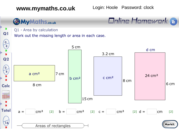**www.mymaths.co.uk** Login: Hoole Password: clock

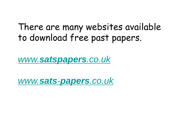## There are many websites available to download free past papers.

*www.[satspapers](http://www.satspapers.co.uk/).co.uk*

*www.sats-[papers](http://www.sats-papers.co.uk/).co.uk*